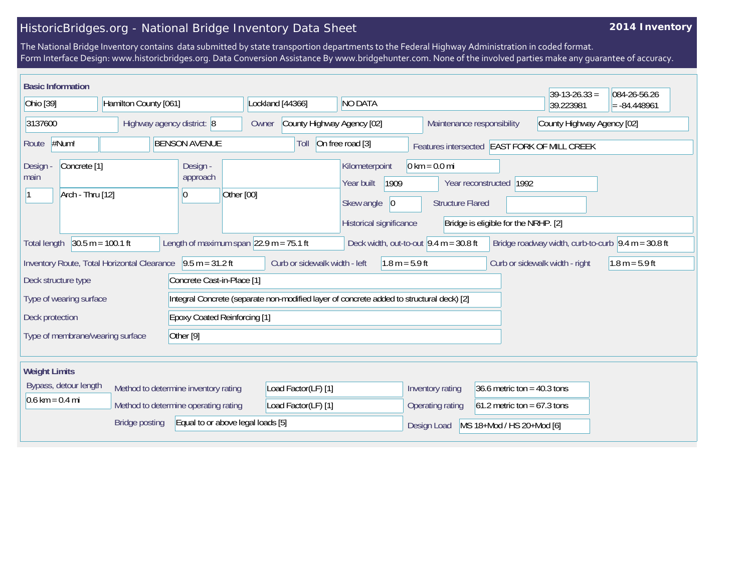## HistoricBridges.org - National Bridge Inventory Data Sheet

## **2014 Inventory**

The National Bridge Inventory contains data submitted by state transportion departments to the Federal Highway Administration in coded format. Form Interface Design: www.historicbridges.org. Data Conversion Assistance By www.bridgehunter.com. None of the involved parties make any guarantee of accuracy.

| <b>Basic Information</b>                                                                                                                                                                                                                           |  |                                                                                          |                                                                                      |                                                                                                        |                                                                 |                           | $39-13-26.33 =$                              | 084-26-56.26     |
|----------------------------------------------------------------------------------------------------------------------------------------------------------------------------------------------------------------------------------------------------|--|------------------------------------------------------------------------------------------|--------------------------------------------------------------------------------------|--------------------------------------------------------------------------------------------------------|-----------------------------------------------------------------|---------------------------|----------------------------------------------|------------------|
| Ohio [39]<br>Hamilton County [061]                                                                                                                                                                                                                 |  |                                                                                          | Lockland [44366]<br><b>NO DATA</b>                                                   |                                                                                                        |                                                                 |                           | 39.223981                                    | $= -84.448961$   |
| 3137600<br>Highway agency district: 8                                                                                                                                                                                                              |  | Owner                                                                                    | County Highway Agency [02]<br>Maintenance responsibility                             |                                                                                                        | County Highway Agency [02]                                      |                           |                                              |                  |
| #Num!<br><b>BENSON AVENUE</b><br>Route                                                                                                                                                                                                             |  |                                                                                          | Toll                                                                                 | On free road [3]                                                                                       |                                                                 |                           | Features intersected EAST FORK OF MILL CREEK |                  |
| Concrete <sup>[1]</sup><br>Design -<br><b>Design</b><br>approach<br>main<br>Arch - Thru [12]<br>Other [00]<br>$\vert 0 \vert$                                                                                                                      |  |                                                                                          | Kilometerpoint<br>1909<br>Year built<br>Skew angle<br> 0 <br>Historical significance | $0 \text{ km} = 0.0 \text{ mi}$<br><b>Structure Flared</b>                                             | Year reconstructed 1992<br>Bridge is eligible for the NRHP. [2] |                           |                                              |                  |
| Length of maximum span $ 22.9 \text{ m} = 75.1 \text{ ft}$<br>$30.5 m = 100.1 ft$<br>Deck width, out-to-out $9.4 \text{ m} = 30.8 \text{ ft}$<br>Bridge roadway width, curb-to-curb $\vert 9.4 \text{ m} = 30.8 \text{ ft}$<br><b>Total length</b> |  |                                                                                          |                                                                                      |                                                                                                        |                                                                 |                           |                                              |                  |
| Inventory Route, Total Horizontal Clearance                                                                                                                                                                                                        |  | $9.5 m = 31.2 ft$                                                                        | Curb or sidewalk width - left                                                        | $1.8 m = 5.9 ft$                                                                                       |                                                                 |                           | Curb or sidewalk width - right               | $1.8 m = 5.9 ft$ |
| Deck structure type                                                                                                                                                                                                                                |  | Concrete Cast-in-Place [1]                                                               |                                                                                      |                                                                                                        |                                                                 |                           |                                              |                  |
| Type of wearing surface                                                                                                                                                                                                                            |  | Integral Concrete (separate non-modified layer of concrete added to structural deck) [2] |                                                                                      |                                                                                                        |                                                                 |                           |                                              |                  |
| Deck protection                                                                                                                                                                                                                                    |  | <b>Epoxy Coated Reinforcing [1]</b>                                                      |                                                                                      |                                                                                                        |                                                                 |                           |                                              |                  |
| Other [9]<br>Type of membrane/wearing surface                                                                                                                                                                                                      |  |                                                                                          |                                                                                      |                                                                                                        |                                                                 |                           |                                              |                  |
| <b>Weight Limits</b>                                                                                                                                                                                                                               |  |                                                                                          |                                                                                      |                                                                                                        |                                                                 |                           |                                              |                  |
| Bypass, detour length<br>Method to determine inventory rating<br>$0.6 \text{ km} = 0.4 \text{ mi}$<br>Method to determine operating rating                                                                                                         |  | Load Factor(LF) [1]<br>Load Factor(LF) [1]                                               |                                                                                      | Inventory rating<br>36.6 metric ton = $40.3$ tons<br>61.2 metric ton = $67.3$ tons<br>Operating rating |                                                                 |                           |                                              |                  |
| Equal to or above legal loads [5]<br><b>Bridge posting</b>                                                                                                                                                                                         |  |                                                                                          |                                                                                      |                                                                                                        | Design Load                                                     | MS 18+Mod / HS 20+Mod [6] |                                              |                  |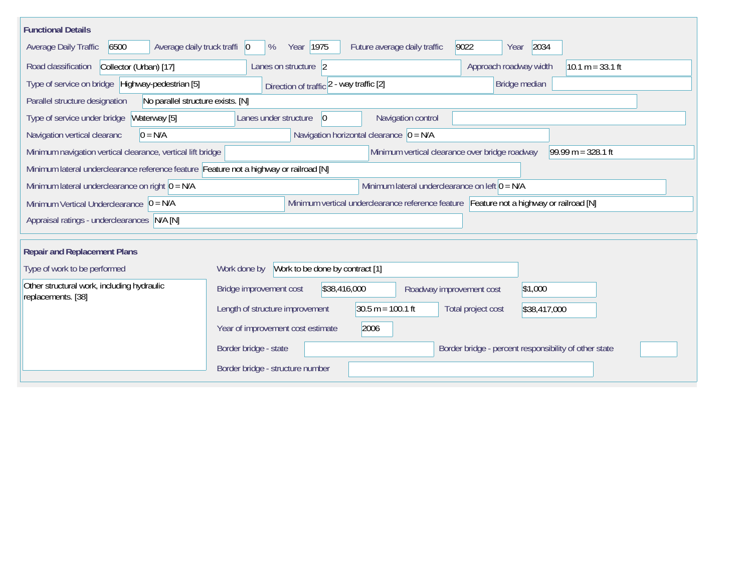| <b>Functional Details</b>                                                                             |                                                                                         |                                                |                                                       |                      |  |  |
|-------------------------------------------------------------------------------------------------------|-----------------------------------------------------------------------------------------|------------------------------------------------|-------------------------------------------------------|----------------------|--|--|
| 6500<br>Average daily truck traffi   0<br>Average Daily Traffic                                       | Year 1975<br>%                                                                          | Future average daily traffic                   | 2034<br>9022<br>Year                                  |                      |  |  |
| Collector (Urban) [17]<br>Road classification                                                         | Lanes on structure 2                                                                    |                                                | Approach roadway width<br>$10.1 m = 33.1 ft$          |                      |  |  |
| Type of service on bridge Highway-pedestrian [5]                                                      | Direction of traffic 2 - way traffic [2]                                                |                                                | Bridge median                                         |                      |  |  |
| Parallel structure designation<br>No parallel structure exists. [N]                                   |                                                                                         |                                                |                                                       |                      |  |  |
| Waterway [5]<br>Type of service under bridge                                                          | Lanes under structure<br>$ 0\rangle$                                                    | Navigation control                             |                                                       |                      |  |  |
| $0 = N/A$<br>Navigation vertical clearanc                                                             |                                                                                         | Navigation horizontal clearance $ 0 = N/A $    |                                                       |                      |  |  |
| Minimum navigation vertical clearance, vertical lift bridge                                           |                                                                                         | Minimum vertical clearance over bridge roadway |                                                       | $99.99 m = 328.1 ft$ |  |  |
| Minimum lateral underclearance reference feature Feature not a highway or railroad [N]                |                                                                                         |                                                |                                                       |                      |  |  |
| Minimum lateral underclearance on left $0 = N/A$<br>Minimum lateral underclearance on right $0 = N/A$ |                                                                                         |                                                |                                                       |                      |  |  |
| Minimum Vertical Underclearance $ 0 = N/A$                                                            | Minimum vertical underclearance reference feature Feature not a highway or railroad [N] |                                                |                                                       |                      |  |  |
| Appraisal ratings - underclearances N/A [N]                                                           |                                                                                         |                                                |                                                       |                      |  |  |
|                                                                                                       |                                                                                         |                                                |                                                       |                      |  |  |
| <b>Repair and Replacement Plans</b>                                                                   |                                                                                         |                                                |                                                       |                      |  |  |
| Work to be done by contract [1]<br>Type of work to be performed<br>Work done by                       |                                                                                         |                                                |                                                       |                      |  |  |
| Other structural work, including hydraulic<br>replacements. [38]                                      | \$38,416,000<br>Bridge improvement cost                                                 | Roadway improvement cost                       | \$1,000                                               |                      |  |  |
|                                                                                                       | Length of structure improvement                                                         | $30.5 m = 100.1 ft$                            | Total project cost<br>\$38,417,000                    |                      |  |  |
|                                                                                                       | Year of improvement cost estimate                                                       | 2006                                           |                                                       |                      |  |  |
|                                                                                                       | Border bridge - state                                                                   |                                                | Border bridge - percent responsibility of other state |                      |  |  |
|                                                                                                       | Border bridge - structure number                                                        |                                                |                                                       |                      |  |  |